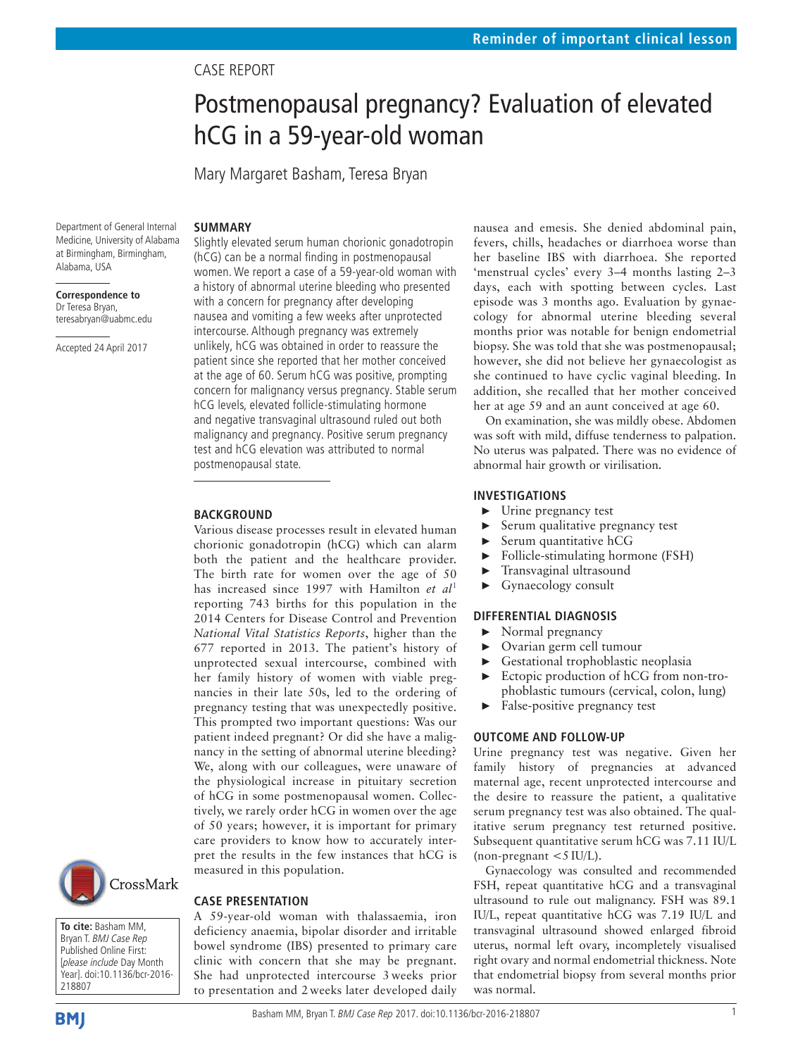## Case report

# Postmenopausal pregnancy? Evaluation of elevated hCG in a 59-year-old woman

Mary Margaret Basham, Teresa Bryan

#### **SUMMARY**

Department of General Internal Medicine, University of Alabama at Birmingham, Birmingham, Alabama, USA

**Correspondence to** Dr Teresa Bryan, teresabryan@uabmc.edu

Accepted 24 April 2017

Slightly elevated serum human chorionic gonadotropin (hCG) can be a normal finding in postmenopausal women. We report a case of a 59-year-old woman with a history of abnormal uterine bleeding who presented with a concern for pregnancy after developing nausea and vomiting a few weeks after unprotected intercourse. Although pregnancy was extremely unlikely, hCG was obtained in order to reassure the patient since she reported that her mother conceived at the age of 60. Serum hCG was positive, prompting concern for malignancy versus pregnancy. Stable serum hCG levels, elevated follicle-stimulating hormone and negative transvaginal ultrasound ruled out both malignancy and pregnancy. Positive serum pregnancy test and hCG elevation was attributed to normal postmenopausal state.

#### **BACKGROUND**

Various disease processes result in elevated human chorionic gonadotropin (hCG) which can alarm both the patient and the healthcare provider. The birth rate for women over the age of 50 has increased since 1997 with Hamilton *et al*[1](#page-1-0) reporting 743 births for this population in the 2014 Centers for Disease Control and Prevention *National Vital Statistics Reports*, higher than the 677 reported in 2013. The patient's history of unprotected sexual intercourse, combined with her family history of women with viable pregnancies in their late 50s, led to the ordering of pregnancy testing that was unexpectedly positive. This prompted two important questions: Was our patient indeed pregnant? Or did she have a malignancy in the setting of abnormal uterine bleeding? We, along with our colleagues, were unaware of the physiological increase in pituitary secretion of hCG in some postmenopausal women. Collectively, we rarely order hCG in women over the age of 50 years; however, it is important for primary care providers to know how to accurately interpret the results in the few instances that hCG is measured in this population.

#### **Case presentation**

A 59-year-old woman with thalassaemia, iron deficiency anaemia, bipolar disorder and irritable bowel syndrome (IBS) presented to primary care clinic with concern that she may be pregnant. She had unprotected intercourse 3 weeks prior to presentation and 2 weeks later developed daily nausea and emesis. She denied abdominal pain, fevers, chills, headaches or diarrhoea worse than her baseline IBS with diarrhoea. She reported 'menstrual cycles' every 3–4 months lasting 2–3 days, each with spotting between cycles. Last episode was 3 months ago. Evaluation by gynaecology for abnormal uterine bleeding several months prior was notable for benign endometrial biopsy. She was told that she was postmenopausal; however, she did not believe her gynaecologist as she continued to have cyclic vaginal bleeding. In addition, she recalled that her mother conceived her at age 59 and an aunt conceived at age 60.

On examination, she was mildly obese. Abdomen was soft with mild, diffuse tenderness to palpation. No uterus was palpated. There was no evidence of abnormal hair growth or virilisation.

#### **Investigations**

- ► Urine pregnancy test
- Serum qualitative pregnancy test
- ► Serum quantitative hCG
- ► Follicle-stimulating hormone (FSH)
- ► Transvaginal ultrasound
- ► Gynaecology consult

#### **Differential diagnosis**

- ► Normal pregnancy
- ► Ovarian germ cell tumour
- Gestational trophoblastic neoplasia
- ► Ectopic production of hCG from non-trophoblastic tumours (cervical, colon, lung)
- False-positive pregnancy test

#### **Outcome and follow-up**

Urine pregnancy test was negative. Given her family history of pregnancies at advanced maternal age, recent unprotected intercourse and the desire to reassure the patient, a qualitative serum pregnancy test was also obtained. The qualitative serum pregnancy test returned positive. Subsequent quantitative serum hCG was 7.11 IU/L (non-pregnant  $<$  5 IU/L).

Gynaecology was consulted and recommended FSH, repeat quantitative hCG and a transvaginal ultrasound to rule out malignancy. FSH was 89.1 IU/L, repeat quantitative hCG was 7.19 IU/L and transvaginal ultrasound showed enlarged fibroid uterus, normal left ovary, incompletely visualised right ovary and normal endometrial thickness. Note that endometrial biopsy from several months prior was normal.



**To cite:** Basham MM, Bryan T. BMJ Case Rep Published Online First: [please include Day Month Year]. doi:10.1136/bcr-2016- 218807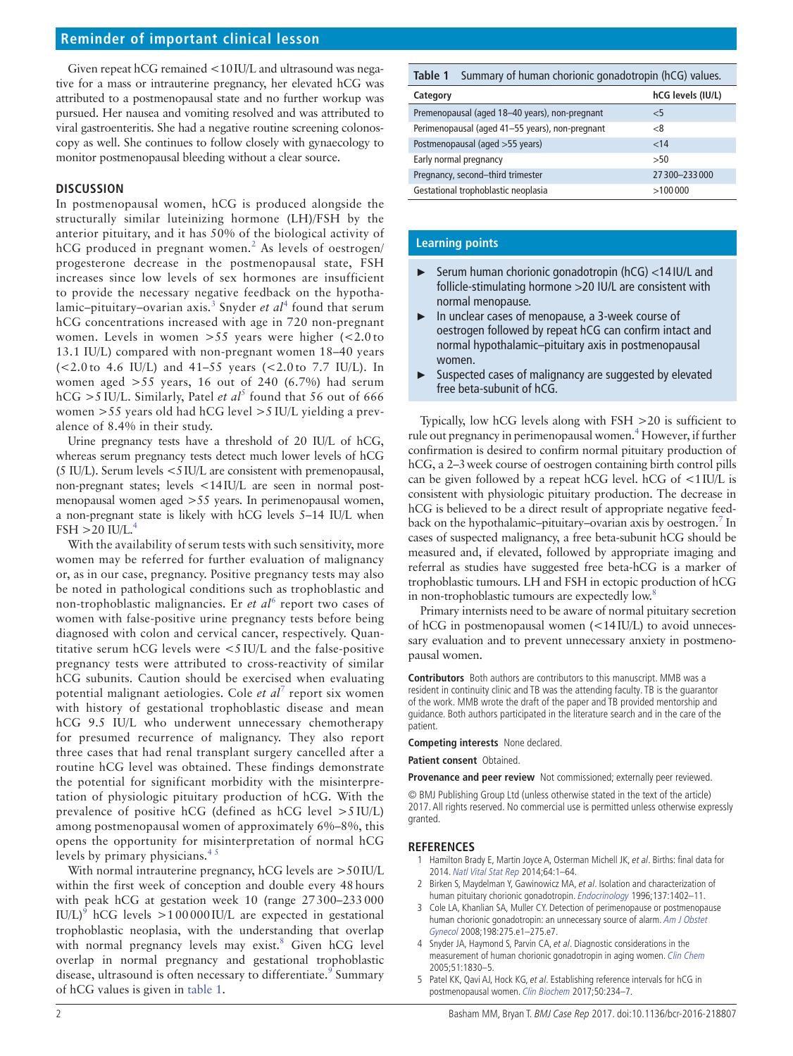## **Reminder of important clinical lesson**

Given repeat hCG remained <10IU/L and ultrasound was negative for a mass or intrauterine pregnancy, her elevated hCG was attributed to a postmenopausal state and no further workup was pursued. Her nausea and vomiting resolved and was attributed to viral gastroenteritis. She had a negative routine screening colonoscopy as well. She continues to follow closely with gynaecology to monitor postmenopausal bleeding without a clear source.

#### **Discussion**

In postmenopausal women, hCG is produced alongside the structurally similar luteinizing hormone (LH)/FSH by the anterior pituitary, and it has 50% of the biological activity of hCG produced in pregnant women.<sup>[2](#page-1-1)</sup> As levels of oestrogen/ progesterone decrease in the postmenopausal state, FSH increases since low levels of sex hormones are insufficient to provide the necessary negative feedback on the hypotha-lamic–pituitary–ovarian axis.<sup>[3](#page-1-2)</sup> Snyder *et al*<sup>[4](#page-1-3)</sup> found that serum hCG concentrations increased with age in 720 non-pregnant women. Levels in women  $>55$  years were higher (<2.0 to 13.1 IU/L) compared with non-pregnant women 18–40 years (<2.0 to 4.6 IU/L) and 41–55 years (<2.0 to 7.7 IU/L). In women aged  $>55$  years, 16 out of 240 (6.7%) had serum  $hCG > 5$  $hCG > 5$  IU/L. Similarly, Patel *et al*<sup>5</sup> found that 56 out of 666 women >55 years old had hCG level >5 IU/L yielding a prevalence of 8.4% in their study.

Urine pregnancy tests have a threshold of 20 IU/L of hCG, whereas serum pregnancy tests detect much lower levels of hCG (5 IU/L). Serum levels <5IU/L are consistent with premenopausal, non-pregnant states; levels <14IU/L are seen in normal postmenopausal women aged >55 years. In perimenopausal women, a non-pregnant state is likely with hCG levels 5–14 IU/L when  $FSH > 20$  IU/L.<sup>4</sup>

With the availability of serum tests with such sensitivity, more women may be referred for further evaluation of malignancy or, as in our case, pregnancy. Positive pregnancy tests may also be noted in pathological conditions such as trophoblastic and non-trophoblastic malignancies. Er et al<sup>[6](#page-2-0)</sup> report two cases of women with false-positive urine pregnancy tests before being diagnosed with colon and cervical cancer, respectively. Quantitative serum hCG levels were <5 IU/L and the false-positive pregnancy tests were attributed to cross-reactivity of similar hCG subunits. Caution should be exercised when evaluating potential malignant aetiologies. Cole et al<sup>[7](#page-2-1)</sup> report six women with history of gestational trophoblastic disease and mean hCG 9.5 IU/L who underwent unnecessary chemotherapy for presumed recurrence of malignancy. They also report three cases that had renal transplant surgery cancelled after a routine hCG level was obtained. These findings demonstrate the potential for significant morbidity with the misinterpretation of physiologic pituitary production of hCG. With the prevalence of positive hCG (defined as hCG level >5 IU/L) among postmenopausal women of approximately 6%–8%, this opens the opportunity for misinterpretation of normal hCG levels by primary physicians. $4<sup>3</sup>$ 

With normal intrauterine pregnancy, hCG levels are >50IU/L within the first week of conception and double every 48hours with peak hCG at gestation week 10 (range 27300–233000 IU/L)<sup>9</sup> hCG levels  $>100000$  IU/L are expected in gestational trophoblastic neoplasia, with the understanding that overlap with normal pregnancy levels may exist.<sup>[8](#page-2-3)</sup> Given hCG level overlap in normal pregnancy and gestational trophoblastic disease, ultrasound is often necessary to differentiate.<sup>9</sup> Summary of hCG values is given in [table](#page-1-5) 1.

<span id="page-1-5"></span>

| Table 1<br>Summary of human chorionic gonadotropin (hCG) values. |                   |
|------------------------------------------------------------------|-------------------|
| Category                                                         | hCG levels (IU/L) |
| Premenopausal (aged 18-40 years), non-pregnant                   | <5                |
| Perimenopausal (aged 41-55 years), non-pregnant                  | -8                |

| Postmenopausal (aged >55 years)     | $~<$ 14      |
|-------------------------------------|--------------|
| Early normal pregnancy              | >50          |
| Pregnancy, second-third trimester   | 27300-233000 |
| Gestational trophoblastic neoplasia | >100000      |

#### **Learning points**

- ► Serum human chorionic gonadotropin (hCG) <14 IU/L and follicle-stimulating hormone >20 IU/L are consistent with normal menopause.
- ► In unclear cases of menopause, a 3-week course of oestrogen followed by repeat hCG can confirm intact and normal hypothalamic–pituitary axis in postmenopausal women.
- ► Suspected cases of malignancy are suggested by elevated free beta-subunit of hCG.

Typically, low hCG levels along with FSH >20 is sufficient to rule out pregnancy in perimenopausal women.<sup>4</sup> However, if further confirmation is desired to confirm normal pituitary production of hCG, a 2–3week course of oestrogen containing birth control pills can be given followed by a repeat hCG level. hCG of <1IU/L is consistent with physiologic pituitary production. The decrease in hCG is believed to be a direct result of appropriate negative feedback on the hypothalamic-pituitary-ovarian axis by oestrogen.<sup>7</sup> In cases of suspected malignancy, a free beta-subunit hCG should be measured and, if elevated, followed by appropriate imaging and referral as studies have suggested free beta-hCG is a marker of trophoblastic tumours. LH and FSH in ectopic production of hCG in non-trophoblastic tumours are expectedly low.<sup>8</sup>

Primary internists need to be aware of normal pituitary secretion of hCG in postmenopausal women (<14IU/L) to avoid unnecessary evaluation and to prevent unnecessary anxiety in postmenopausal women.

**Contributors** Both authors are contributors to this manuscript. MMB was a resident in continuity clinic and TB was the attending faculty. TB is the guarantor of the work. MMB wrote the draft of the paper and TB provided mentorship and guidance. Both authors participated in the literature search and in the care of the patient.

**Competing interests** None declared.

**Patient consent** Obtained.

**Provenance and peer review** Not commissioned; externally peer reviewed.

© BMJ Publishing Group Ltd (unless otherwise stated in the text of the article) 2017. All rights reserved. No commercial use is permitted unless otherwise expressly granted.

#### **References**

- <span id="page-1-0"></span>Hamilton Brady E, Martin Joyce A, Osterman Michell JK, et al. Births: final data for 2014. Natl Vital Stat Rep 2014;64:1–64.
- <span id="page-1-1"></span>2 Birken S, Maydelman Y, Gawinowicz MA, et al. Isolation and characterization of human pituitary chorionic gonadotropin. [Endocrinology](http://dx.doi.org/10.1210/endo.137.4.8625917) 1996;137:1402-11.
- <span id="page-1-2"></span>3 Cole LA, Khanlian SA, Muller CY. Detection of perimenopause or postmenopause human chorionic gonadotropin: an unnecessary source of alarm. Am J Obstet [Gynecol](http://dx.doi.org/10.1016/j.ajog.2007.09.034) 2008;198:275.e1–275.e7.
- <span id="page-1-3"></span>4 Snyder JA, Haymond S, Parvin CA, et al. Diagnostic considerations in the measurement of human chorionic gonadotropin in aging women. [Clin Chem](http://dx.doi.org/10.1373/clinchem.2005.053595) 2005;51:1830–5.
- <span id="page-1-4"></span>5 Patel KK, Qavi AJ, Hock KG, et al. Establishing reference intervals for hCG in postmenopausal women. [Clin Biochem](http://dx.doi.org/10.1016/j.clinbiochem.2016.11.017) 2017;50:234–7.